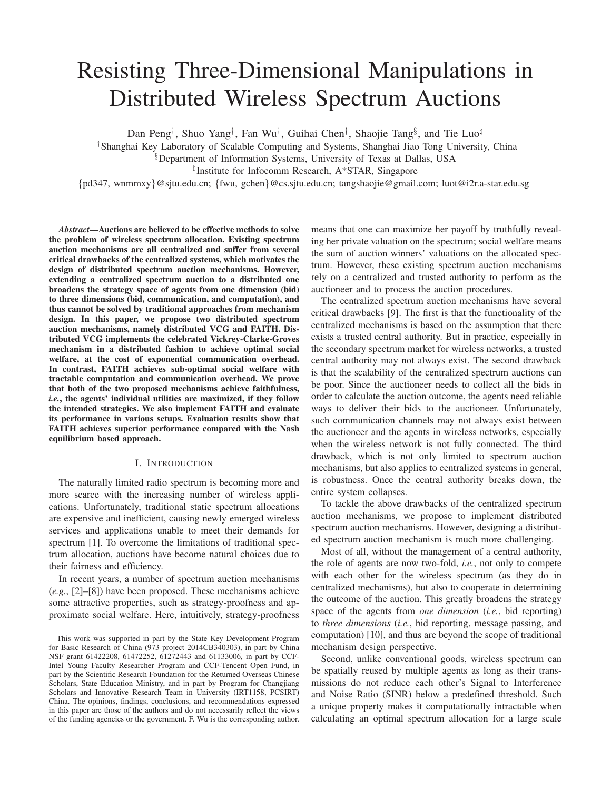# Resisting Three-Dimensional Manipulations in Distributed Wireless Spectrum Auctions

Dan Peng<sup>†</sup>, Shuo Yang<sup>†</sup>, Fan Wu<sup>†</sup>, Guihai Chen<sup>†</sup>, Shaojie Tang<sup>§</sup>, and Tie Luo<sup>‡</sup>

†Shanghai Key Laboratory of Scalable Computing and Systems, Shanghai Jiao Tong University, China

§Department of Information Systems, University of Texas at Dallas, USA

♮ Institute for Infocomm Research, A\*STAR, Singapore

{pd347, wnmmxy}@sjtu.edu.cn; {fwu, gchen}@cs.sjtu.edu.cn; tangshaojie@gmail.com; luot@i2r.a-star.edu.sg

*Abstract*—Auctions are believed to be effective methods to solve the problem of wireless spectrum allocation. Existing spectrum auction mechanisms are all centralized and suffer from several critical drawbacks of the centralized systems, which motivates the design of distributed spectrum auction mechanisms. However, extending a centralized spectrum auction to a distributed one broadens the strategy space of agents from one dimension (bid) to three dimensions (bid, communication, and computation), and thus cannot be solved by traditional approaches from mechanism design. In this paper, we propose two distributed spectrum auction mechanisms, namely distributed VCG and FAITH. Distributed VCG implements the celebrated Vickrey-Clarke-Groves mechanism in a distributed fashion to achieve optimal social welfare, at the cost of exponential communication overhead. In contrast, FAITH achieves sub-optimal social welfare with tractable computation and communication overhead. We prove that both of the two proposed mechanisms achieve faithfulness, *i.e.*, the agents' individual utilities are maximized, if they follow the intended strategies. We also implement FAITH and evaluate its performance in various setups. Evaluation results show that FAITH achieves superior performance compared with the Nash equilibrium based approach.

## I. INTRODUCTION

The naturally limited radio spectrum is becoming more and more scarce with the increasing number of wireless applications. Unfortunately, traditional static spectrum allocations are expensive and inefficient, causing newly emerged wireless services and applications unable to meet their demands for spectrum [1]. To overcome the limitations of traditional spectrum allocation, auctions have become natural choices due to their fairness and efficiency.

In recent years, a number of spectrum auction mechanisms (*e.g.*, [2]–[8]) have been proposed. These mechanisms achieve some attractive properties, such as strategy-proofness and approximate social welfare. Here, intuitively, strategy-proofness means that one can maximize her payoff by truthfully revealing her private valuation on the spectrum; social welfare means the sum of auction winners' valuations on the allocated spectrum. However, these existing spectrum auction mechanisms rely on a centralized and trusted authority to perform as the auctioneer and to process the auction procedures.

The centralized spectrum auction mechanisms have several critical drawbacks [9]. The first is that the functionality of the centralized mechanisms is based on the assumption that there exists a trusted central authority. But in practice, especially in the secondary spectrum market for wireless networks, a trusted central authority may not always exist. The second drawback is that the scalability of the centralized spectrum auctions can be poor. Since the auctioneer needs to collect all the bids in order to calculate the auction outcome, the agents need reliable ways to deliver their bids to the auctioneer. Unfortunately, such communication channels may not always exist between the auctioneer and the agents in wireless networks, especially when the wireless network is not fully connected. The third drawback, which is not only limited to spectrum auction mechanisms, but also applies to centralized systems in general, is robustness. Once the central authority breaks down, the entire system collapses.

To tackle the above drawbacks of the centralized spectrum auction mechanisms, we propose to implement distributed spectrum auction mechanisms. However, designing a distributed spectrum auction mechanism is much more challenging.

Most of all, without the management of a central authority, the role of agents are now two-fold, *i.e.*, not only to compete with each other for the wireless spectrum (as they do in centralized mechanisms), but also to cooperate in determining the outcome of the auction. This greatly broadens the strategy space of the agents from *one dimension* (*i.e.*, bid reporting) to *three dimensions* (*i.e.*, bid reporting, message passing, and computation) [10], and thus are beyond the scope of traditional mechanism design perspective.

Second, unlike conventional goods, wireless spectrum can be spatially reused by multiple agents as long as their transmissions do not reduce each other's Signal to Interference and Noise Ratio (SINR) below a predefined threshold. Such a unique property makes it computationally intractable when calculating an optimal spectrum allocation for a large scale

This work was supported in part by the State Key Development Program for Basic Research of China (973 project 2014CB340303), in part by China NSF grant 61422208, 61472252, 61272443 and 61133006, in part by CCF-Intel Young Faculty Researcher Program and CCF-Tencent Open Fund, in part by the Scientific Research Foundation for the Returned Overseas Chinese Scholars, State Education Ministry, and in part by Program for Changjiang Scholars and Innovative Research Team in University (IRT1158, PCSIRT) China. The opinions, findings, conclusions, and recommendations expressed in this paper are those of the authors and do not necessarily reflect the views of the funding agencies or the government. F. Wu is the corresponding author.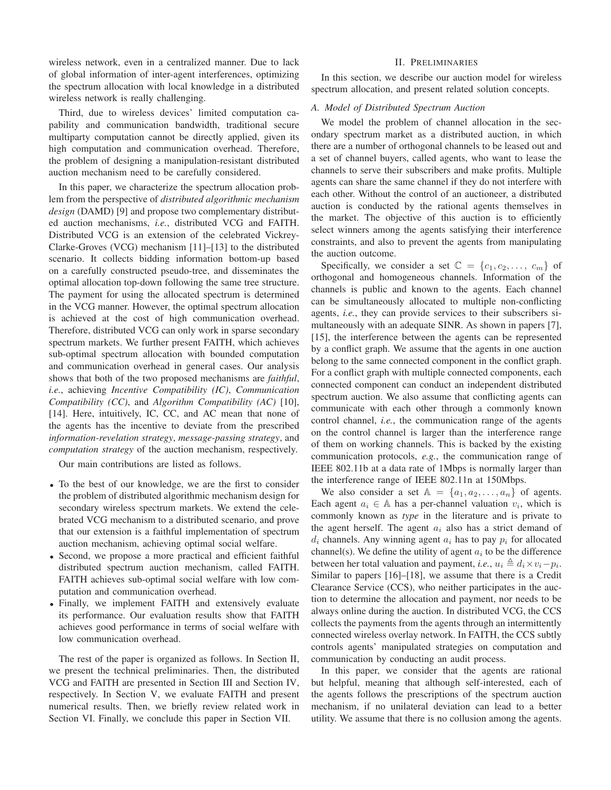wireless network, even in a centralized manner. Due to lack of global information of inter-agent interferences, optimizing the spectrum allocation with local knowledge in a distributed wireless network is really challenging.

Third, due to wireless devices' limited computation capability and communication bandwidth, traditional secure multiparty computation cannot be directly applied, given its high computation and communication overhead. Therefore, the problem of designing a manipulation-resistant distributed auction mechanism need to be carefully considered.

In this paper, we characterize the spectrum allocation problem from the perspective of *distributed algorithmic mechanism design* (DAMD) [9] and propose two complementary distributed auction mechanisms, *i.e.*, distributed VCG and FAITH. Distributed VCG is an extension of the celebrated Vickrey-Clarke-Groves (VCG) mechanism [11]–[13] to the distributed scenario. It collects bidding information bottom-up based on a carefully constructed pseudo-tree, and disseminates the optimal allocation top-down following the same tree structure. The payment for using the allocated spectrum is determined in the VCG manner. However, the optimal spectrum allocation is achieved at the cost of high communication overhead. Therefore, distributed VCG can only work in sparse secondary spectrum markets. We further present FAITH, which achieves sub-optimal spectrum allocation with bounded computation and communication overhead in general cases. Our analysis shows that both of the two proposed mechanisms are *faithful*, *i.e.*, achieving *Incentive Compatibility (IC)*, *Communication Compatibility (CC)*, and *Algorithm Compatibility (AC)* [10], [14]. Here, intuitively, IC, CC, and AC mean that none of the agents has the incentive to deviate from the prescribed *information-revelation strategy*, *message-passing strategy*, and *computation strategy* of the auction mechanism, respectively.

Our main contributions are listed as follows.

- To the best of our knowledge, we are the first to consider the problem of distributed algorithmic mechanism design for secondary wireless spectrum markets. We extend the celebrated VCG mechanism to a distributed scenario, and prove that our extension is a faithful implementation of spectrum auction mechanism, achieving optimal social welfare.
- Second, we propose a more practical and efficient faithful distributed spectrum auction mechanism, called FAITH. FAITH achieves sub-optimal social welfare with low computation and communication overhead.
- Finally, we implement FAITH and extensively evaluate its performance. Our evaluation results show that FAITH achieves good performance in terms of social welfare with low communication overhead.

The rest of the paper is organized as follows. In Section II, we present the technical preliminaries. Then, the distributed VCG and FAITH are presented in Section III and Section IV, respectively. In Section V, we evaluate FAITH and present numerical results. Then, we briefly review related work in Section VI. Finally, we conclude this paper in Section VII.

#### II. PRELIMINARIES

In this section, we describe our auction model for wireless spectrum allocation, and present related solution concepts.

#### *A. Model of Distributed Spectrum Auction*

We model the problem of channel allocation in the secondary spectrum market as a distributed auction, in which there are a number of orthogonal channels to be leased out and a set of channel buyers, called agents, who want to lease the channels to serve their subscribers and make profits. Multiple agents can share the same channel if they do not interfere with each other. Without the control of an auctioneer, a distributed auction is conducted by the rational agents themselves in the market. The objective of this auction is to efficiently select winners among the agents satisfying their interference constraints, and also to prevent the agents from manipulating the auction outcome.

Specifically, we consider a set  $\mathbb{C} = \{c_1, c_2, \ldots, c_m\}$  of orthogonal and homogeneous channels. Information of the channels is public and known to the agents. Each channel can be simultaneously allocated to multiple non-conflicting agents, *i.e.*, they can provide services to their subscribers simultaneously with an adequate SINR. As shown in papers [7], [15], the interference between the agents can be represented by a conflict graph. We assume that the agents in one auction belong to the same connected component in the conflict graph. For a conflict graph with multiple connected components, each connected component can conduct an independent distributed spectrum auction. We also assume that conflicting agents can communicate with each other through a commonly known control channel, *i.e.*, the communication range of the agents on the control channel is larger than the interference range of them on working channels. This is backed by the existing communication protocols, *e.g.*, the communication range of IEEE 802.11b at a data rate of 1Mbps is normally larger than the interference range of IEEE 802.11n at 150Mbps.

We also consider a set  $A = \{a_1, a_2, \ldots, a_n\}$  of agents. Each agent  $a_i \in A$  has a per-channel valuation  $v_i$ , which is commonly known as *type* in the literature and is private to the agent herself. The agent  $a_i$  also has a strict demand of  $d_i$  channels. Any winning agent  $a_i$  has to pay  $p_i$  for allocated channel(s). We define the utility of agent  $a_i$  to be the difference between her total valuation and payment, *i.e.*,  $u_i \triangleq d_i \times v_i - p_i$ . Similar to papers [16]–[18], we assume that there is a Credit Clearance Service (CCS), who neither participates in the auction to determine the allocation and payment, nor needs to be always online during the auction. In distributed VCG, the CCS collects the payments from the agents through an intermittently connected wireless overlay network. In FAITH, the CCS subtly controls agents' manipulated strategies on computation and communication by conducting an audit process.

In this paper, we consider that the agents are rational but helpful, meaning that although self-interested, each of the agents follows the prescriptions of the spectrum auction mechanism, if no unilateral deviation can lead to a better utility. We assume that there is no collusion among the agents.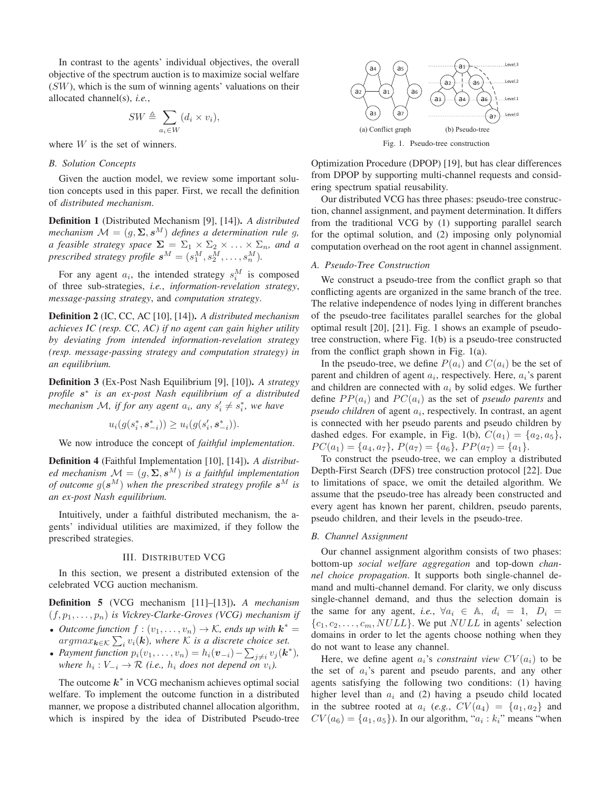In contrast to the agents' individual objectives, the overall objective of the spectrum auction is to maximize social welfare  $(SW)$ , which is the sum of winning agents' valuations on their allocated channel(s), *i.e.*,

$$
SW \triangleq \sum_{a_i \in W} (d_i \times v_i),
$$

where  $W$  is the set of winners.

# *B. Solution Concepts*

Given the auction model, we review some important solution concepts used in this paper. First, we recall the definition of *distributed mechanism*.

Definition 1 (Distributed Mechanism [9], [14]). *A distributed mechanism*  $M = (g, \Sigma, s^M)$  *defines a determination rule g, a feasible strategy space*  $\Sigma = \Sigma_1 \times \Sigma_2 \times \ldots \times \Sigma_n$ *, and a prescribed strategy profile*  $s^M = (s_1^M, s_2^M, \dots, s_n^M)$ *.* 

For any agent  $a_i$ , the intended strategy  $s_i^M$  is composed of three sub-strategies, *i.e.*, *information-revelation strategy*, *message-passing strategy*, and *computation strategy*.

Definition 2 (IC, CC, AC [10], [14]). *A distributed mechanism achieves IC (resp. CC, AC) if no agent can gain higher utility by deviating from intended information-revelation strategy (resp. message-passing strategy and computation strategy) in an equilibrium.*

Definition 3 (Ex-Post Nash Equilibrium [9], [10]). *A strategy profile* s ∗ *is an ex-post Nash equilibrium of a distributed mechanism* M, if for any agent  $a_i$ , any  $s'_i \neq s_i^*$ , we have

$$
u_i(g(s_i^*, s_{-i}^*)) \geq u_i(g(s_i', s_{-i}^*)
$$
.

We now introduce the concept of *faithful implementation*.

Definition 4 (Faithful Implementation [10], [14]). *A distributed mechanism*  $\mathcal{M} = (g, \Sigma, s^M)$  *is a faithful implementation of outcome*  $g(\mathbf{s}^M)$  *when the prescribed strategy profile*  $\mathbf{s}^M$  *is an ex-post Nash equilibrium.*

Intuitively, under a faithful distributed mechanism, the agents' individual utilities are maximized, if they follow the prescribed strategies.

## III. DISTRIBUTED VCG

In this section, we present a distributed extension of the celebrated VCG auction mechanism.

Definition 5 (VCG mechanism [11]–[13]). *A mechanism*  $(f, p_1, \ldots, p_n)$  *is Vickrey-Clarke-Groves (VCG) mechanism if* 

- *Outcome function*  $f:(v_1,\ldots,v_n)\to K$ *, ends up with*  $k^* =$  $argmax_{\boldsymbol{k} \in \mathcal{K}} \sum_i v_i(\boldsymbol{k})$ , where  $\mathcal K$  is a discrete choice set.
- *Payment function*  $p_i(v_1, \ldots, v_n) = h_i(\mathbf{v}_{-i}) \sum_{j \neq i} v_j(\mathbf{k}^*),$ *where*  $h_i: V_{-i} \to \mathcal{R}$  (*i.e.,*  $h_i$  *does not depend on*  $v_i$ *).*

The outcome  $k^*$  in VCG mechanism achieves optimal social welfare. To implement the outcome function in a distributed manner, we propose a distributed channel allocation algorithm, which is inspired by the idea of Distributed Pseudo-tree



Optimization Procedure (DPOP) [19], but has clear differences from DPOP by supporting multi-channel requests and considering spectrum spatial reusability.

Our distributed VCG has three phases: pseudo-tree construction, channel assignment, and payment determination. It differs from the traditional VCG by (1) supporting parallel search for the optimal solution, and (2) imposing only polynomial computation overhead on the root agent in channel assignment.

# *A. Pseudo-Tree Construction*

We construct a pseudo-tree from the conflict graph so that conflicting agents are organized in the same branch of the tree. The relative independence of nodes lying in different branches of the pseudo-tree facilitates parallel searches for the global optimal result [20], [21]. Fig. 1 shows an example of pseudotree construction, where Fig. 1(b) is a pseudo-tree constructed from the conflict graph shown in Fig. 1(a).

In the pseudo-tree, we define  $P(a_i)$  and  $C(a_i)$  be the set of parent and children of agent  $a_i$ , respectively. Here,  $a_i$ 's parent and children are connected with  $a_i$  by solid edges. We further define  $PP(a_i)$  and  $PC(a_i)$  as the set of *pseudo parents* and  $pseudo$  *children* of agent  $a_i$ , respectively. In contrast, an agent is connected with her pseudo parents and pseudo children by dashed edges. For example, in Fig. 1(b),  $C(a_1) = \{a_2, a_5\}$ ,  $PC(a_1) = \{a_4, a_7\}, P(a_7) = \{a_6\}, PP(a_7) = \{a_1\}.$ 

To construct the pseudo-tree, we can employ a distributed Depth-First Search (DFS) tree construction protocol [22]. Due to limitations of space, we omit the detailed algorithm. We assume that the pseudo-tree has already been constructed and every agent has known her parent, children, pseudo parents, pseudo children, and their levels in the pseudo-tree.

#### *B. Channel Assignment*

Our channel assignment algorithm consists of two phases: bottom-up *social welfare aggregation* and top-down *channel choice propagation*. It supports both single-channel demand and multi-channel demand. For clarity, we only discuss single-channel demand, and thus the selection domain is the same for any agent, *i.e.*,  $\forall a_i \in \mathbb{A}$ ,  $d_i = 1$ ,  $D_i =$  ${c_1, c_2, \ldots, c_m, NULL}$ . We put *NULL* in agents' selection domains in order to let the agents choose nothing when they do not want to lease any channel.

Here, we define agent  $a_i$ 's *constraint view*  $CV(a_i)$  to be the set of  $a_i$ 's parent and pseudo parents, and any other agents satisfying the following two conditions: (1) having higher level than  $a_i$  and (2) having a pseudo child located in the subtree rooted at  $a_i$  (e.g.,  $CV(a_4) = \{a_1, a_2\}$  and  $CV(a_6) = \{a_1, a_5\}$ . In our algorithm, " $a_i : k_i$ " means "when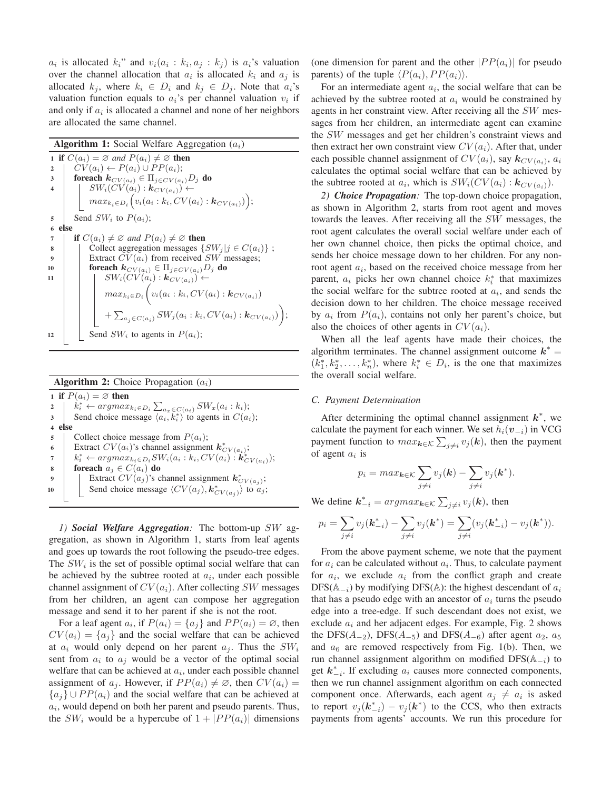$a_i$  is allocated  $k_i$ " and  $v_i(a_i : k_i, a_j : k_j)$  is  $a_i$ 's valuation over the channel allocation that  $a_i$  is allocated  $k_i$  and  $a_j$  is allocated  $k_j$ , where  $k_i \in D_i$  and  $k_j \in D_j$ . Note that  $a_i$ 's valuation function equals to  $a_i$ 's per channel valuation  $v_i$  if and only if  $a_i$  is allocated a channel and none of her neighbors are allocated the same channel.

**Algorithm 1:** Social Welfare Aggregation  $(a_i)$ 1 if  $C(a_i) = \emptyset$  and  $P(a_i) \neq \emptyset$  then 2 |  $CV(a_i) \leftarrow P(a_i) \cup PP(a_i);$ 3 foreach  $k_{CV(a_i)} \in \Pi_{j \in CV(a_i)} D_j$  do  $4 \mid \big| \quad SW_i(CV(a_i): \mathbf{k}_{CV(a_i)}) \leftarrow$  $max_{k_i\in D_i}\Big(v_i(a_i:k_i,CV(a_i):\boldsymbol{k}_{CV(a_i)})\Big);$  $\mathfrak{s}$  Send  $SW_i$  to  $P(a_i)$ ; <sup>6</sup> else 7 **if**  $C(a_i) \neq \emptyset$  and  $P(a_i) \neq \emptyset$  then 8 | Collect aggregation messages  $\{SW_j | j \in C(a_i)\}\;$ ; 9 | Extract  $CV(a_i)$  from received SW messages; 10 **foreach**  $k_{CV(a_i)} \in \Pi_{j\in CV(a_i)}D_j$  do 11  $\left|\right|$   $SW_i(\widetilde{CV(a_i)} : \widetilde{\mathbf{k}}_{CV(a_i)}) \leftarrow$  $max_{k_i\in D_i}\bigg(v_i(a_i:k_i,CV(a_i):\boldsymbol{k}_{CV(a_i)})\bigg)$  $+\sum_{a_j \in C(a_i)} SW_j(a_i : k_i, CV(a_i) : k_{CV(a_i)})\bigg);$ 12 | Send  $SW_i$  to agents in  $P(a_i)$ ;

**Algorithm 2:** Choice Propagation  $(a_i)$ 1 if  $P(a_i) = \emptyset$  then 2  $\begin{array}{c} | & k_i^* \leftarrow argmax_{k_i \in D_i} \sum_{a_x \in C(a_i)} SW_x(a_i : k_i); \end{array}$ 3 Send choice message  $\langle a_i, k_i^* \rangle$  to agents in  $C(a_i)$ ; <sup>4</sup> else 5 Collect choice message from  $P(a_i)$ ; 6 Extract  $CV(a_i)$ 's channel assignment  $k_{CV(a_i)}^*$ ;  $\tau \quad \bigg| \quad k_i^* \leftarrow argmax_{k_i \in D_i} SW_i(a_i : k_i, CV(a_i) : \mathbf{k}_{CV(a_i)}^*);$ 8 **foreach**  $a_j \in C(a_i)$  do 9 | Extract  $CV(a_j)$ 's channel assignment  $k^*_{CV(a_j)}$ ; 10 Send choice message  $\langle CV(a_j), \mathbf{k}_{CV(a_j)}^* \rangle$  to  $a_j$ ;

*1) Social Welfare Aggregation:* The bottom-up SW aggregation, as shown in Algorithm 1, starts from leaf agents and goes up towards the root following the pseudo-tree edges. The  $SW_i$  is the set of possible optimal social welfare that can be achieved by the subtree rooted at  $a_i$ , under each possible channel assignment of  $CV(a_i)$ . After collecting SW messages from her children, an agent can compose her aggregation message and send it to her parent if she is not the root.

For a leaf agent  $a_i$ , if  $P(a_i) = \{a_j\}$  and  $PP(a_i) = \emptyset$ , then  $CV(a_i) = \{a_i\}$  and the social welfare that can be achieved at  $a_i$  would only depend on her parent  $a_j$ . Thus the  $SW_i$ sent from  $a_i$  to  $a_j$  would be a vector of the optimal social welfare that can be achieved at  $a_i$ , under each possible channel assignment of  $a_i$ . However, if  $PP(a_i) \neq \emptyset$ , then  $CV(a_i) =$  ${a_i} \cup PP(a_i)$  and the social welfare that can be achieved at  $a_i$ , would depend on both her parent and pseudo parents. Thus, the  $SW_i$  would be a hypercube of  $1 + |PP(a_i)|$  dimensions

(one dimension for parent and the other  $|PP(a_i)|$  for pseudo parents) of the tuple  $\langle P(a_i), P P(a_i)\rangle$ .

For an intermediate agent  $a_i$ , the social welfare that can be achieved by the subtree rooted at  $a_i$  would be constrained by agents in her constraint view. After receiving all the SW messages from her children, an intermediate agent can examine the SW messages and get her children's constraint views and then extract her own constraint view  $CV(a_i)$ . After that, under each possible channel assignment of  $CV(a_i)$ , say  $\mathbf{k}_{CV(a_i)}$ ,  $a_i$ calculates the optimal social welfare that can be achieved by the subtree rooted at  $a_i$ , which is  $SW_i(CV(a_i): \mathbf{k}_{CV(a_i)}).$ 

*2) Choice Propagation:* The top-down choice propagation, as shown in Algorithm 2, starts from root agent and moves towards the leaves. After receiving all the SW messages, the root agent calculates the overall social welfare under each of her own channel choice, then picks the optimal choice, and sends her choice message down to her children. For any nonroot agent  $a_i$ , based on the received choice message from her parent,  $a_i$  picks her own channel choice  $k_i^*$  that maximizes the social welfare for the subtree rooted at  $a_i$ , and sends the decision down to her children. The choice message received by  $a_i$  from  $P(a_i)$ , contains not only her parent's choice, but also the choices of other agents in  $CV(a_i)$ .

When all the leaf agents have made their choices, the algorithm terminates. The channel assignment outcome  $k^* =$  $(k_1^*, k_2^*, \ldots, k_n^*)$ , where  $k_i^* \in D_i$ , is the one that maximizes the overall social welfare.

# *C. Payment Determination*

After determining the optimal channel assignment  $k^*$ , we calculate the payment for each winner. We set  $h_i(\mathbf{v}_{-i})$  in VCG payment function to  $max_{\mathbf{k} \in \mathcal{K}} \sum_{j \neq i} v_j(\mathbf{k})$ , then the payment of agent  $a_i$  is

$$
p_i = max_{\mathbf{k} \in \mathcal{K}} \sum_{j \neq i} v_j(\mathbf{k}) - \sum_{j \neq i} v_j(\mathbf{k}^*).
$$

We define  $\mathbf{k}_{-i}^* = argmax_{\mathbf{k} \in \mathcal{K}} \sum_{j \neq i} v_j(\mathbf{k})$ , then

$$
p_i = \sum_{j \neq i} v_j(\mathbf{k}_{-i}^*) - \sum_{j \neq i} v_j(\mathbf{k}^*) = \sum_{j \neq i} (v_j(\mathbf{k}_{-i}^*) - v_j(\mathbf{k}^*)).
$$

From the above payment scheme, we note that the payment for  $a_i$  can be calculated without  $a_i$ . Thus, to calculate payment for  $a_i$ , we exclude  $a_i$  from the conflict graph and create DFS( $\mathbb{A}_{-i}$ ) by modifying DFS( $\mathbb{A}$ ): the highest descendant of  $a_i$ that has a pseudo edge with an ancestor of  $a_i$  turns the pseudo edge into a tree-edge. If such descendant does not exist, we exclude  $a_i$  and her adjacent edges. For example, Fig. 2 shows the DFS( $A_{-2}$ ), DFS( $A_{-5}$ ) and DFS( $A_{-6}$ ) after agent  $a_2$ ,  $a_5$ and  $a_6$  are removed respectively from Fig. 1(b). Then, we run channel assignment algorithm on modified DFS( $A_{-i}$ ) to get  $k_{-i}^*$ . If excluding  $a_i$  causes more connected components, then we run channel assignment algorithm on each connected component once. Afterwards, each agent  $a_j \neq a_i$  is asked to report  $v_j(\mathbf{k}_{-i}^*) - v_j(\mathbf{k}^*)$  to the CCS, who then extracts payments from agents' accounts. We run this procedure for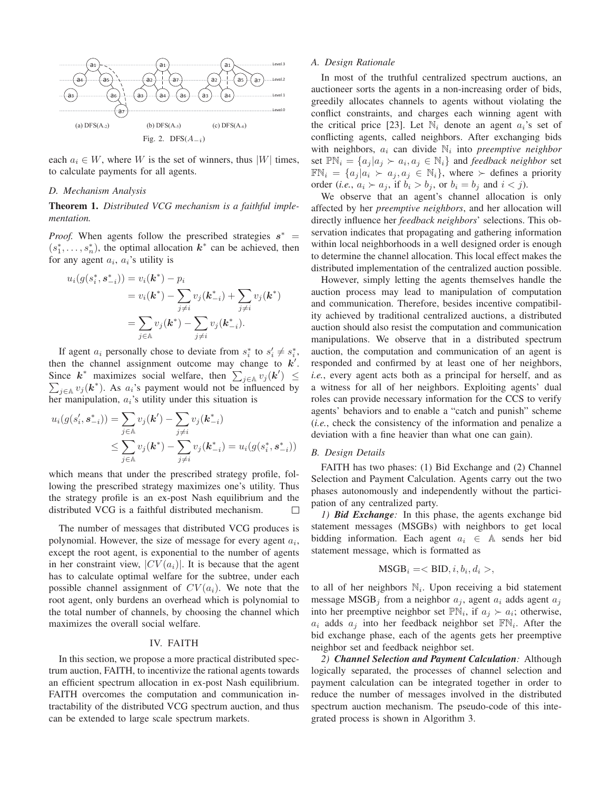

each  $a_i \in W$ , where W is the set of winners, thus |W| times, to calculate payments for all agents.

#### *D. Mechanism Analysis*

Theorem 1. *Distributed VCG mechanism is a faithful implementation.*

*Proof.* When agents follow the prescribed strategies  $s^*$  =  $(s_1^*, \ldots, s_n^*)$ , the optimal allocation  $k^*$  can be achieved, then for any agent  $a_i$ ,  $a_i$ 's utility is

$$
u_i(g(s_i^*, \mathbf{s}_{-i}^*)) = v_i(\mathbf{k}^*) - p_i
$$
  
=  $v_i(\mathbf{k}^*) - \sum_{j \neq i} v_j(\mathbf{k}_{-i}^*) + \sum_{j \neq i} v_j(\mathbf{k}^*)$   
=  $\sum_{j \in \mathbb{A}} v_j(\mathbf{k}^*) - \sum_{j \neq i} v_j(\mathbf{k}_{-i}^*).$ 

If agent  $a_i$  personally chose to deviate from  $s_i^*$  to  $s_i' \neq s_i^*$ , then the channel assignment outcome may change to  $k'$ . Since  $k^*$  maximizes social welfare, then  $\sum_{j \in \mathbb{A}} v_j(k') \leq$  $\sum_{j \in \mathbb{A}} v_j(\mathbf{k}^*)$ . As  $a_i$ 's payment would not be influenced by her manipulation,  $a_i$ 's utility under this situation is

$$
u_i(g(s'_i, s^*_{-i})) = \sum_{j \in \mathbb{A}} v_j(\mathbf{k}') - \sum_{j \neq i} v_j(\mathbf{k}^*_{-i})
$$
  

$$
\leq \sum_{j \in \mathbb{A}} v_j(\mathbf{k}^*) - \sum_{j \neq i} v_j(\mathbf{k}^*_{-i}) = u_i(g(s^*_i, s^*_{-i}))
$$

which means that under the prescribed strategy profile, following the prescribed strategy maximizes one's utility. Thus the strategy profile is an ex-post Nash equilibrium and the distributed VCG is a faithful distributed mechanism. □

The number of messages that distributed VCG produces is polynomial. However, the size of message for every agent  $a_i$ , except the root agent, is exponential to the number of agents in her constraint view,  $|CV(a_i)|$ . It is because that the agent has to calculate optimal welfare for the subtree, under each possible channel assignment of  $CV(a_i)$ . We note that the root agent, only burdens an overhead which is polynomial to the total number of channels, by choosing the channel which maximizes the overall social welfare.

## IV. FAITH

In this section, we propose a more practical distributed spectrum auction, FAITH, to incentivize the rational agents towards an efficient spectrum allocation in ex-post Nash equilibrium. FAITH overcomes the computation and communication intractability of the distributed VCG spectrum auction, and thus can be extended to large scale spectrum markets.

## *A. Design Rationale*

In most of the truthful centralized spectrum auctions, an auctioneer sorts the agents in a non-increasing order of bids, greedily allocates channels to agents without violating the conflict constraints, and charges each winning agent with the critical price [23]. Let  $\mathbb{N}_i$  denote an agent  $a_i$ 's set of conflicting agents, called neighbors. After exchanging bids with neighbors,  $a_i$  can divide  $\mathbb{N}_i$  into *preemptive neighbor* set  $\mathbb{PN}_i = \{a_j | a_j \succ a_i, a_j \in \mathbb{N}_i\}$  and *feedback neighbor* set  $\mathbb{FN}_i = \{a_i | a_i \succ a_j, a_j \in \mathbb{N}_i\}$ , where  $\succ$  defines a priority order (*i.e.*,  $a_i \succ a_j$ , if  $b_i > b_j$ , or  $b_i = b_j$  and  $i < j$ ).

We observe that an agent's channel allocation is only affected by her *preemptive neighbors*, and her allocation will directly influence her *feedback neighbors*' selections. This observation indicates that propagating and gathering information within local neighborhoods in a well designed order is enough to determine the channel allocation. This local effect makes the distributed implementation of the centralized auction possible.

However, simply letting the agents themselves handle the auction process may lead to manipulation of computation and communication. Therefore, besides incentive compatibility achieved by traditional centralized auctions, a distributed auction should also resist the computation and communication manipulations. We observe that in a distributed spectrum auction, the computation and communication of an agent is responded and confirmed by at least one of her neighbors, *i.e.*, every agent acts both as a principal for herself, and as a witness for all of her neighbors. Exploiting agents' dual roles can provide necessary information for the CCS to verify agents' behaviors and to enable a "catch and punish" scheme (*i.e.*, check the consistency of the information and penalize a deviation with a fine heavier than what one can gain).

#### *B. Design Details*

FAITH has two phases: (1) Bid Exchange and (2) Channel Selection and Payment Calculation. Agents carry out the two phases autonomously and independently without the participation of any centralized party.

*1) Bid Exchange:* In this phase, the agents exchange bid statement messages (MSGBs) with neighbors to get local bidding information. Each agent  $a_i \in A$  sends her bid statement message, which is formatted as

$$
MSGB_i = ,
$$

to all of her neighbors  $\mathbb{N}_i$ . Upon receiving a bid statement message MSGB<sub>j</sub> from a neighbor  $a_i$ , agent  $a_i$  adds agent  $a_j$ into her preemptive neighbor set  $\mathbb{PN}_i$ , if  $a_j \succ a_i$ ; otherwise,  $a_i$  adds  $a_j$  into her feedback neighbor set  $\mathbb{FN}_i$ . After the bid exchange phase, each of the agents gets her preemptive neighbor set and feedback neighbor set.

*2) Channel Selection and Payment Calculation:* Although logically separated, the processes of channel selection and payment calculation can be integrated together in order to reduce the number of messages involved in the distributed spectrum auction mechanism. The pseudo-code of this integrated process is shown in Algorithm 3.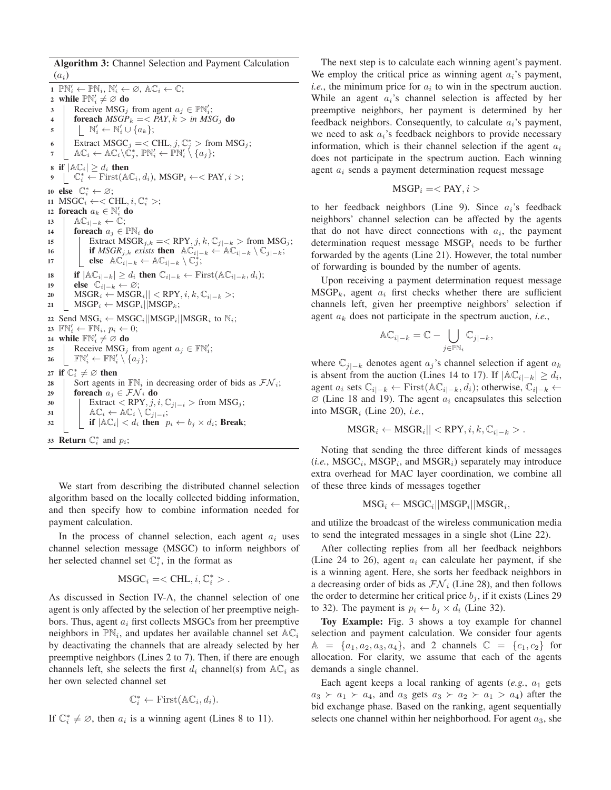Algorithm 3: Channel Selection and Payment Calculation  $(a_i)$ 

```
1 \mathbb{PN}_i' \leftarrow \mathbb{PN}_i, \mathbb{N}_i' \leftarrow \emptyset, \mathbb{AC}_i \leftarrow \mathbb{C};2 while \mathbb{PN}_i' \neq \emptyset do
  3 | Receive MSG<sub>j</sub> from agent a_j \in \mathbb{PN}'_i;
 4 foreach MSGP_k = \langle PAY, k \rangle in MSG<sub>j</sub> do
  \mathsf{s} | \mathbb{N}'_i \leftarrow \mathbb{N}'_i \cup \{a_k\};6 Extract \text{MSGC}_j = \text{CHL}, j, \mathbb{C}_j^* > from \text{MSG}_j;
  \begin{array}{ccc} \pi & \mid & \mathbb{AC}_i \leftarrow \mathbb{AC}_i \backslash \check{\mathbb{C}}_j^*, \; \mathbb{PN}_i' \leftarrow \mathbb{PN}_i' \setminus \{a_j\}; \end{array}8 if |AC_i| \ge d_i then
  \mathsf{P} \quad | \quad \mathbb{C}^*_i \leftarrow \text{First}(\mathbb{AC}_i, d_i), \, \text{MSGP}_i \leftarrow \lt{\text{PAY}, i}10 else \mathbb{C}_i^* \leftarrow \varnothing;11 MSGC<sub>i</sub> \leftarrow < CHL, i, \mathbb{C}_i^* >;
12 foreach a_k \in \mathbb{N}'_i do
13 | \mathbb{AC}_{i|-k} \leftarrow \mathbb{C};14 foreach a_j \in \mathbb{PN}_i do
15 | Extract MSGR<sub>j,k</sub> = < RPY, j, k, \mathbb{C}_{j|=k} > from MSG<sub>j</sub>;
16 if MSGR<sub>j,k</sub> exists then \mathbb{AC}_{i|-k} \leftarrow \mathbb{AC}_{i|-k} \setminus \mathbb{C}_{j|-k};17 else \mathbb{AC}_{i|-k} \leftarrow \mathbb{AC}_{i|-k} \setminus \mathbb{C}_j^*;18 if |A\mathbb{C}_{i|-k}| \geq d_i then \mathbb{C}_{i|-k} \leftarrow First(A\mathbb{C}_{i|-k}, d_i);<br>19 else \mathbb{C}_{i|k} \leftarrow \emptyset;else \mathbb{C}_{i|-k} ← ∅;
20 MSGR<sub>i</sub> ← MSGR<sub>i</sub>|| < RPY, i, k, \mathbb{C}_{i|-k} >;
21 | MSGP_i \leftarrow MSGP_i || MSGP_k;22 Send \text{MSG}_i \leftarrow \text{MSGC}_i || \text{MSGP}_i || \text{MSGR}_i to \mathbb{N}_i;
23 \mathbb{FN}'_i \leftarrow \mathbb{FN}_i, p_i \leftarrow 0;24 while \mathbb{FN}'_i \neq \emptyset do
25 | Receive \text{MSG}_j from agent a_j \in \mathbb{FN}'_i;
26 | \mathbb{FN}'_i \leftarrow \mathbb{FN}'_i \setminus \{a_j\};27 if \mathbb{C}_i^* \neq \emptyset then
27 if \mathbb{C}_i^* \neq \emptyset then<br>28 Sort agents in \mathbb{FN}_i in decreasing order of bids as \mathcal{FN}_i;
29 foreach a_i \in \mathcal{FN}_i do
30 Extract < RPY, j, i, \mathbb{C}_{j|-i} > from MSG<sub>j</sub>;
31 \big| \mathbb{AC}_i \leftarrow \mathbb{AC}_i \setminus \mathbb{C}_{j|-i};32 if |\mathbb{AC}_i| < d_i then p_i \leftarrow b_j \times d_i; Break;
33 Return \mathbb{C}_i^* and p_i;
```
We start from describing the distributed channel selection algorithm based on the locally collected bidding information, and then specify how to combine information needed for payment calculation.

In the process of channel selection, each agent  $a_i$  uses channel selection message (MSGC) to inform neighbors of her selected channel set  $\mathbb{C}_i^*$ , in the format as

$$
MSGC_i = .
$$

As discussed in Section IV-A, the channel selection of one agent is only affected by the selection of her preemptive neighbors. Thus, agent  $a_i$  first collects MSGCs from her preemptive neighbors in  $\mathbb{PN}_i$ , and updates her available channel set  $\mathbb{AC}_i$ by deactivating the channels that are already selected by her preemptive neighbors (Lines 2 to 7). Then, if there are enough channels left, she selects the first  $d_i$  channel(s) from  $AC_i$  as her own selected channel set

$$
\mathbb{C}_i^* \leftarrow \text{First}(\mathbb{AC}_i, d_i).
$$

If  $\mathbb{C}_i^* \neq \emptyset$ , then  $a_i$  is a winning agent (Lines 8 to 11).

The next step is to calculate each winning agent's payment. We employ the critical price as winning agent  $a_i$ 's payment, *i.e.*, the minimum price for  $a_i$  to win in the spectrum auction. While an agent  $a_i$ 's channel selection is affected by her preemptive neighbors, her payment is determined by her feedback neighbors. Consequently, to calculate  $a_i$ 's payment, we need to ask  $a_i$ 's feedback neighbors to provide necessary information, which is their channel selection if the agent  $a_i$ does not participate in the spectrum auction. Each winning agent  $a_i$  sends a payment determination request message

$$
\mathrm{MSGP}_i = <\mathrm{PAY}, i>
$$

to her feedback neighbors (Line 9). Since  $a_i$ 's feedback neighbors' channel selection can be affected by the agents that do not have direct connections with  $a_i$ , the payment determination request message  $MSGP_i$  needs to be further forwarded by the agents (Line 21). However, the total number of forwarding is bounded by the number of agents.

Upon receiving a payment determination request message  $MSGP_k$ , agent  $a_i$  first checks whether there are sufficient channels left, given her preemptive neighbors' selection if agent  $a_k$  does not participate in the spectrum auction, *i.e.*,

$$
\mathbb{A}\mathbb{C}_{i|-k} = \mathbb{C} - \bigcup_{j \in \mathbb{PN}_i} \mathbb{C}_{j|-k},
$$

where  $\mathbb{C}_{j|-k}$  denotes agent  $a_j$ 's channel selection if agent  $a_k$ is absent from the auction (Lines 14 to 17). If  $|\mathbb{AC}_{i|=k}| \geq d_i$ , agent  $a_i$  sets  $\mathbb{C}_{i|-k} \leftarrow \text{First}(\mathbb{AC}_{i|-k}, d_i)$ ; otherwise,  $\mathbb{C}_{i|-k} \leftarrow$  $\varnothing$  (Line 18 and 19). The agent  $a_i$  encapsulates this selection into  $MSGR_i$  (Line 20), *i.e.*,

$$
\text{MSGR}_i \leftarrow \text{MSGR}_i || < \text{RPY}, i, k, \mathbb{C}_{i|-k} > .
$$

Noting that sending the three different kinds of messages  $(i.e., MSGC<sub>i</sub>, MSGP<sub>i</sub>, and MSGR<sub>i</sub>)$  separately may introduce extra overhead for MAC layer coordination, we combine all of these three kinds of messages together

$$
\text{MSG}_i \leftarrow \text{MSGC}_i || \text{MSGP}_i || \text{MSGR}_i,
$$

and utilize the broadcast of the wireless communication media to send the integrated messages in a single shot (Line 22).

After collecting replies from all her feedback neighbors (Line 24 to 26), agent  $a_i$  can calculate her payment, if she is a winning agent. Here, she sorts her feedback neighbors in a decreasing order of bids as  $\mathcal{FN}_i$  (Line 28), and then follows the order to determine her critical price  $b_i$ , if it exists (Lines 29 to 32). The payment is  $p_i \leftarrow b_j \times d_i$  (Line 32).

Toy Example: Fig. 3 shows a toy example for channel selection and payment calculation. We consider four agents  $\mathbb{A} = \{a_1, a_2, a_3, a_4\}, \text{ and } 2 \text{ channels } \mathbb{C} = \{c_1, c_2\} \text{ for }$ allocation. For clarity, we assume that each of the agents demands a single channel.

Each agent keeps a local ranking of agents  $(e.g., a<sub>1</sub>$  gets  $a_3 \succ a_1 \succ a_4$ , and  $a_3$  gets  $a_3 \succ a_2 \succ a_1 > a_4$ ) after the bid exchange phase. Based on the ranking, agent sequentially selects one channel within her neighborhood. For agent  $a_3$ , she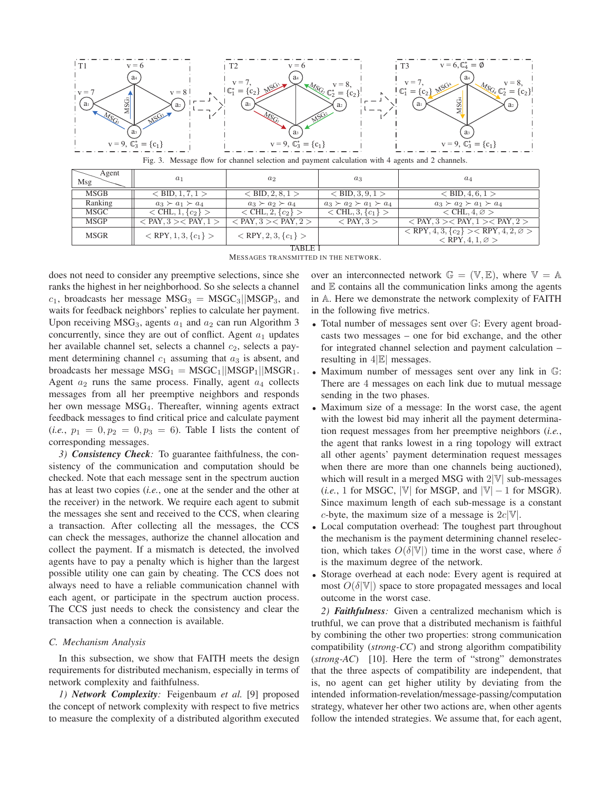

Fig. 3. Message flow for channel selection and payment calculation with 4 agents and 2 channels.

| Agent<br>Msg | $a_1$                         | $a_2$                      | $a_3$                               | $a_4$                                                                                                       |
|--------------|-------------------------------|----------------------------|-------------------------------------|-------------------------------------------------------------------------------------------------------------|
| MSGB         | $<$ BID, 1, 7, 1 $>$          | $<$ BID, 2, 8, 1 $>$       | $<$ BID, 3, 9, 1 $>$                | $<$ BID, 4, 6, 1 $>$                                                                                        |
| Ranking      | $a_3 \succ a_1 \succ a_4$     | $a_3 \succ a_2 \succ a_4$  | $a_3 \succ a_2 \succ a_1 \succ a_4$ | $a_3 \succ a_2 \succ a_1 \succ a_4$                                                                         |
| MSGC         | $\langle$ CHL, 1, $\{c_2\}$ > | < CHL, $2, \{c_2\}$ >      | $\langle$ CHL, 3, $\{c_1\}$ >       | $\langle$ CHL, 4, $\varnothing$ $>$                                                                         |
| <b>MSGP</b>  | $<$ PAY, 3 > $<$ PAY, 1 >     | $<$ PAY, 3 > $<$ PAY, 2 >  | $<$ PAY, 3 $>$                      | $<$ PAY, 3 > $<$ PAY, 1 > $<$ PAY, 2 >                                                                      |
| MSGR         | $<$ RPY, 1, 3, $\{c_1\}$ >    | $<$ RPY, 2, 3, $\{c_1\}$ > |                                     | $\langle RPY, 4, 3, \{c_2\} \rangle \langle RPY, 4, 2, \emptyset \rangle$<br>$<$ RPY, 4, 1, $\varnothing$ > |

TABLE I MESSAGES TRANSMITTED IN THE NETWORK.

does not need to consider any preemptive selections, since she ranks the highest in her neighborhood. So she selects a channel  $c_1$ , broadcasts her message  $MSG_3 = MSGC_3||MSGP_3$ , and waits for feedback neighbors' replies to calculate her payment. Upon receiving  $MSG_3$ , agents  $a_1$  and  $a_2$  can run Algorithm 3 concurrently, since they are out of conflict. Agent  $a_1$  updates her available channel set, selects a channel  $c_2$ , selects a payment determining channel  $c_1$  assuming that  $a_3$  is absent, and broadcasts her message  $MSG_1 = MSGC_1 ||MSGP_1||MSGR_1$ . Agent  $a_2$  runs the same process. Finally, agent  $a_4$  collects messages from all her preemptive neighbors and responds her own message MSG4. Thereafter, winning agents extract feedback messages to find critical price and calculate payment  $(i.e., p_1 = 0, p_2 = 0, p_3 = 6)$ . Table I lists the content of corresponding messages.

*3) Consistency Check:* To guarantee faithfulness, the consistency of the communication and computation should be checked. Note that each message sent in the spectrum auction has at least two copies (*i.e.*, one at the sender and the other at the receiver) in the network. We require each agent to submit the messages she sent and received to the CCS, when clearing a transaction. After collecting all the messages, the CCS can check the messages, authorize the channel allocation and collect the payment. If a mismatch is detected, the involved agents have to pay a penalty which is higher than the largest possible utility one can gain by cheating. The CCS does not always need to have a reliable communication channel with each agent, or participate in the spectrum auction process. The CCS just needs to check the consistency and clear the transaction when a connection is available.

# *C. Mechanism Analysis*

In this subsection, we show that FAITH meets the design requirements for distributed mechanism, especially in terms of network complexity and faithfulness.

*1) Network Complexity:* Feigenbaum *et al.* [9] proposed the concept of network complexity with respect to five metrics to measure the complexity of a distributed algorithm executed over an interconnected network  $\mathbb{G} = (\mathbb{V}, \mathbb{E})$ , where  $\mathbb{V} = \mathbb{A}$ and  $E$  contains all the communication links among the agents in A. Here we demonstrate the network complexity of FAITH in the following five metrics.

- Total number of messages sent over G: Every agent broadcasts two messages – one for bid exchange, and the other for integrated channel selection and payment calculation – resulting in  $4|\mathbb{E}|$  messages.
- Maximum number of messages sent over any link in G: There are 4 messages on each link due to mutual message sending in the two phases.
- Maximum size of a message: In the worst case, the agent with the lowest bid may inherit all the payment determination request messages from her preemptive neighbors (*i.e.*, the agent that ranks lowest in a ring topology will extract all other agents' payment determination request messages when there are more than one channels being auctioned), which will result in a merged MSG with  $2|\mathbb{V}|$  sub-messages (*i.e.*, 1 for MSGC,  $|\mathbb{V}|$  for MSGP, and  $|\mathbb{V}| - 1$  for MSGR). Since maximum length of each sub-message is a constant c-byte, the maximum size of a message is  $2c|\mathbb{V}|$ .
- Local computation overhead: The toughest part throughout the mechanism is the payment determining channel reselection, which takes  $O(\delta|V|)$  time in the worst case, where  $\delta$ is the maximum degree of the network.
- Storage overhead at each node: Every agent is required at most  $O(\delta|\mathbb{V}|)$  space to store propagated messages and local outcome in the worst case.

*2) Faithfulness:* Given a centralized mechanism which is truthful, we can prove that a distributed mechanism is faithful by combining the other two properties: strong communication compatibility (*strong-CC*) and strong algorithm compatibility (*strong-AC*) [10]. Here the term of "strong" demonstrates that the three aspects of compatibility are independent, that is, no agent can get higher utility by deviating from the intended information-revelation/message-passing/computation strategy, whatever her other two actions are, when other agents follow the intended strategies. We assume that, for each agent,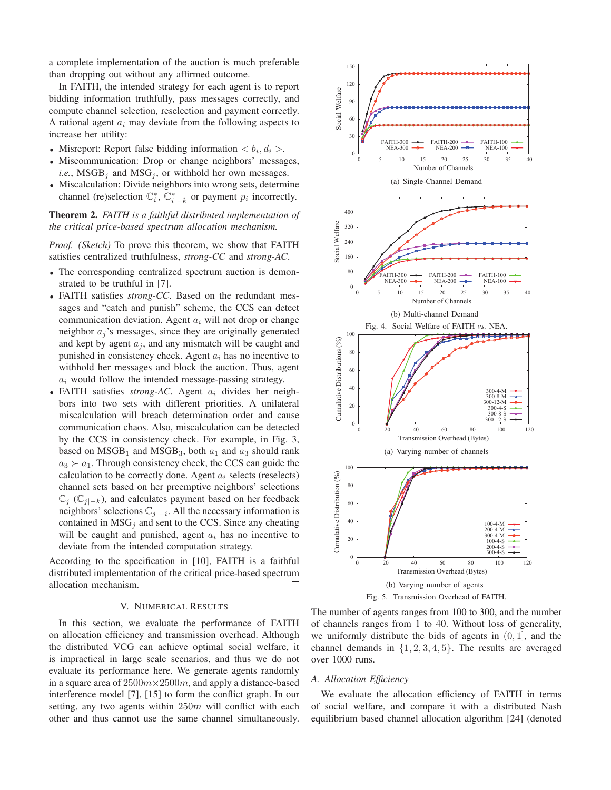a complete implementation of the auction is much preferable than dropping out without any affirmed outcome.

In FAITH, the intended strategy for each agent is to report bidding information truthfully, pass messages correctly, and compute channel selection, reselection and payment correctly. A rational agent  $a_i$  may deviate from the following aspects to increase her utility:

- Misreport: Report false bidding information **,**  $d_i >$ **.**
- Miscommunication: Drop or change neighbors' messages, *i.e.*, MSGB<sub>j</sub> and MSG<sub>j</sub>, or withhold her own messages.
- Miscalculation: Divide neighbors into wrong sets, determine channel (re)selection  $\mathbb{C}_i^*$ ,  $\mathbb{C}_{i|-k}^*$  or payment  $p_i$  incorrectly.

Theorem 2. *FAITH is a faithful distributed implementation of the critical price-based spectrum allocation mechanism.*

*Proof. (Sketch)* To prove this theorem, we show that FAITH satisfies centralized truthfulness, *strong-CC* and *strong-AC*.

- The corresponding centralized spectrum auction is demonstrated to be truthful in [7].
- FAITH satisfies *strong-CC*. Based on the redundant messages and "catch and punish" scheme, the CCS can detect communication deviation. Agent  $a_i$  will not drop or change neighbor  $a_i$ 's messages, since they are originally generated and kept by agent  $a_j$ , and any mismatch will be caught and punished in consistency check. Agent  $a_i$  has no incentive to withhold her messages and block the auction. Thus, agent  $a_i$  would follow the intended message-passing strategy.
- FAITH satisfies *strong-AC*. Agent  $a_i$  divides her neighbors into two sets with different priorities. A unilateral miscalculation will breach determination order and cause communication chaos. Also, miscalculation can be detected by the CCS in consistency check. For example, in Fig. 3, based on  $MSGB_1$  and  $MSGB_3$ , both  $a_1$  and  $a_3$  should rank  $a_3 \succ a_1$ . Through consistency check, the CCS can guide the calculation to be correctly done. Agent  $a_i$  selects (reselects) channel sets based on her preemptive neighbors' selections  $\mathbb{C}_j$  ( $\mathbb{C}_{j|-k}$ ), and calculates payment based on her feedback neighbors' selections  $\mathbb{C}_{j|-i}$ . All the necessary information is contained in  $MSG_i$  and sent to the CCS. Since any cheating will be caught and punished, agent  $a_i$  has no incentive to deviate from the intended computation strategy.

According to the specification in [10], FAITH is a faithful distributed implementation of the critical price-based spectrum allocation mechanism.  $\Box$ 

# V. NUMERICAL RESULTS

In this section, we evaluate the performance of FAITH on allocation efficiency and transmission overhead. Although the distributed VCG can achieve optimal social welfare, it is impractical in large scale scenarios, and thus we do not evaluate its performance here. We generate agents randomly in a square area of  $2500m \times 2500m$ , and apply a distance-based interference model [7], [15] to form the conflict graph. In our setting, any two agents within  $250m$  will conflict with each other and thus cannot use the same channel simultaneously.



Fig. 5. Transmission Overhead of FAITH.

The number of agents ranges from 100 to 300, and the number of channels ranges from 1 to 40. Without loss of generality, we uniformly distribute the bids of agents in  $(0, 1]$ , and the channel demands in  $\{1, 2, 3, 4, 5\}$ . The results are averaged over 1000 runs.

# *A. Allocation Efficiency*

We evaluate the allocation efficiency of FAITH in terms of social welfare, and compare it with a distributed Nash equilibrium based channel allocation algorithm [24] (denoted